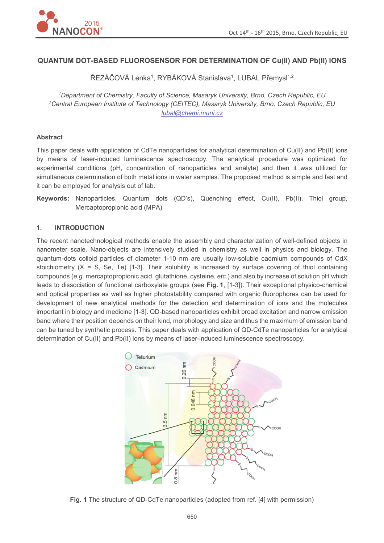

# **QUANTUM DOT-BASED FLUOROSENSOR FOR DETERMINATION OF Cu(II) AND Pb(II) IONS**

ŘEZÁČOVÁ Lenka<sup>1</sup>, RYBÁKOVÁ Stanislava<sup>1</sup>, LUBAL Přemysl<sup>1,2</sup>

*<sup>1</sup>Department of Chemistry, Faculty of Science, Masaryk University, Brno, Czech Republic, EU <sup>2</sup>Central European Institute of Technology (CEITEC), Masaryk University, Brno, Czech Republic, EU lubal@chemi.muni.cz*

### **Abstract**

This paper deals with application of CdTe nanoparticles for analytical determination of Cu(II) and Pb(II) ions by means of laser-induced luminescence spectroscopy. The analytical procedure was optimized for experimental conditions (pH, concentration of nanoparticles and analyte) and then it was utilized for simultaneous determination of both metal ions in water samples. The proposed method is simple and fast and it can be employed for analysis out of lab.

**Keywords:** Nanoparticles, Quantum dots (QD's), Quenching effect, Cu(II), Pb(II), Thiol group, Mercaptopropionic acid (MPA)

### **1. INTRODUCTION**

The recent nanotechnological methods enable the assembly and characterization of well-defined objects in nanometer scale. Nano-objects are intensively studied in chemistry as well in physics and biology. The quantum-dots colloid particles of diameter 1-10 nm are usually low-soluble cadmium compounds of CdX stoichiometry  $(X = S, Se, Te)$  [1-3]. Their solubility is increased by surface covering of thiol containing compounds (*e.g.* mercaptopropionic acid, glutathione, cysteine, *etc.*) and also by increase of solution pH which leads to dissociation of functional carboxylate groups (see **Fig. 1**, [1-3]). Their exceptional physico-chemical and optical properties as well as higher photostability compared with organic fluorophores can be used for development of new analytical methods for the detection and determination of ions and the molecules important in biology and medicine [1-3]. QD-based nanoparticles exhibit broad excitation and narrow emission band where their position depends on their kind, morphology and size and thus the maximum of emission band can be tuned by synthetic process. This paper deals with application of QD-CdTe nanoparticles for analytical determination of Cu(II) and Pb(II) ions by means of laser-induced luminescence spectroscopy.



**Fig. 1** The structure of QD-CdTe nanoparticles (adopted from ref. [4] with permission)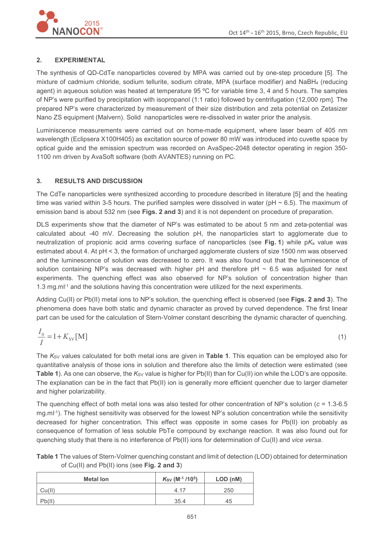

## **2. EXPERIMENTAL**

The synthesis of QD-CdTe nanoparticles covered by MPA was carried out by one-step procedure [5]. The mixture of cadmium chloride, sodium tellurite, sodium citrate, MPA (surface modifier) and NaBH4 (reducing agent) in aqueous solution was heated at temperature 95 ºC for variable time 3, 4 and 5 hours. The samples of NP's were purified by precipitation with isopropanol (1:1 ratio) followed by centrifugation (12,000 rpm]. The prepared NP's were characterized by measurement of their size distribution and zeta potential on Zetasizer Nano ZS equipment (Malvern). Solid nanoparticles were re-dissolved in water prior the analysis.

Luminiscence measurements were carried out on home-made equipment, where laser beam of 405 nm wavelength (Eclipsera X100H405) as excitation source of power 80 mW was introduced into cuvette space by optical guide and the emission spectrum was recorded on AvaSpec-2048 detector operating in region 350- 1100 nm driven by AvaSoft software (both AVANTES) running on PC.

### **3. RESULTS AND DISCUSSION**

The CdTe nanoparticles were synthesized according to procedure described in literature [5] and the heating time was varied within 3-5 hours. The purified samples were dissolved in water (pH  $\sim$  6.5). The maximum of emission band is about 532 nm (see **Figs. 2 and 3**) and it is not dependent on procedure of preparation.

DLS experiments show that the diameter of NP's was estimated to be about 5 nm and zeta-potential was calculated about -40 mV. Decreasing the solution pH, the nanoparticles start to agglomerate due to neutralization of propionic acid arms covering surface of nanoparticles (see **Fig. 1**) while p*K*a value was estimated about 4. At pH < 3, the formation of uncharged agglomerate clusters of size 1500 nm was observed and the luminescence of solution was decreased to zero. It was also found out that the luminescence of solution containing NP's was decreased with higher pH and therefore pH  $\sim$  6.5 was adjusted for next experiments. The quenching effect was also observed for NP's solution of concentration higher than 1.3 mg.ml<sup>-1</sup> and the solutions having this concentration were utilized for the next experiments.

Adding Cu(II) or Pb(II) metal ions to NP's solution, the quenching effect is observed (see **Figs. 2 and 3**). The phenomena does have both static and dynamic character as proved by curved dependence. The first linear part can be used for the calculation of Stern-Volmer constant describing the dynamic character of quenching.

$$
\frac{I_0}{I} = 1 + K_{SV}[M] \tag{1}
$$

The K<sub>SV</sub> values calculated for both metal ions are given in Table 1. This equation can be employed also for quantitative analysis of those ions in solution and therefore also the limits of detection were estimated (see **Table 1**). As one can observe, the *K*<sub>SV</sub> value is higher for Pb(II) than for Cu(II) ion while the LOD's are opposite. The explanation can be in the fact that Pb(II) ion is generally more efficient quencher due to larger diameter and higher polarizability.

The quenching effect of both metal ions was also tested for other concentration of NP's solution (*c* = 1.3-6.5 mg.ml<sup>-1</sup>). The highest sensitivity was observed for the lowest NP's solution concentration while the sensitivity decreased for higher concentration. This effect was opposite in some cases for Pb(II) ion probably as consequence of formation of less soluble PbTe compound by exchange reaction. It was also found out for quenching study that there is no interference of Pb(II) ions for determination of Cu(II) and *vice versa*.

**Table 1** The values of Stern-Volmer quenching constant and limit of detection (LOD) obtained for determination of Cu(II) and Pb(II) ions (see **Fig. 2 and 3**)

| <b>Metal lon</b> | $K_{SV}$ (M <sup>-1</sup> /10 <sup>5</sup> ) | LOD (nM) |
|------------------|----------------------------------------------|----------|
| Cu(II)           | 4.17                                         | 250      |
| Pb(II)           | 35.4                                         | 45       |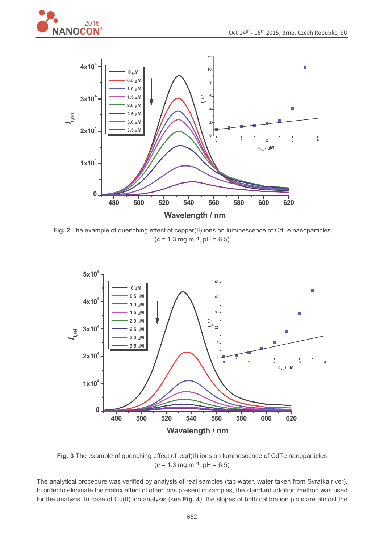



**Fig. 2** The example of quenching effect of copper(II) ions on luminescence of CdTe nanoparticles  $(c = 1.3$  mg.ml<sup>-1</sup>, pH = 6.5)



**Fig. 3** The example of quenching effect of lead(II) ions on luminescence of CdTe nanoparticles  $(c = 1.3$  mg.ml<sup>-1</sup>, pH = 6.5)

The analytical procedure was verified by analysis of real samples (tap water, water taken from Svratka river). In order to eliminate the matrix effect of other ions present in samples, the standard addition method was used for the analysis. In case of Cu(II) ion analysis (see **Fig. 4**), the slopes of both calibration plots are almost the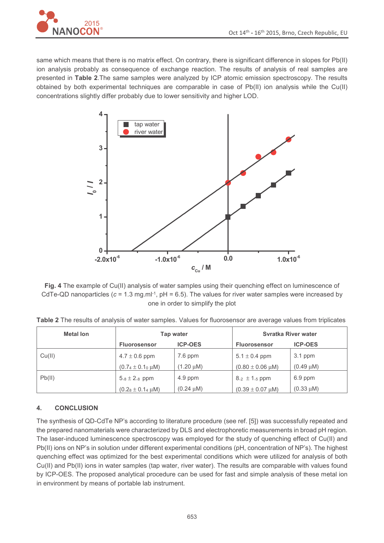

same which means that there is no matrix effect. On contrary, there is significant difference in slopes for Pb(II) ion analysis probably as consequence of exchange reaction. The results of analysis of real samples are presented in **Table 2**.The same samples were analyzed by ICP atomic emission spectroscopy. The results obtained by both experimental techniques are comparable in case of Pb(II) ion analysis while the Cu(II) concentrations slightly differ probably due to lower sensitivity and higher LOD.



**Fig. 4** The example of Cu(II) analysis of water samples using their quenching effect on luminescence of CdTe-QD nanoparticles  $(c = 1.3 \text{ mg.m}^{1} \cdot 1, \text{pH} = 6.5)$ . The values for river water samples were increased by one in order to simplify the plot

| <b>Metal lon</b> | Tap water                       |                | <b>Syratka River water</b>      |                |
|------------------|---------------------------------|----------------|---------------------------------|----------------|
|                  | <b>Fluorosensor</b>             | <b>ICP-OES</b> | <b>Fluorosensor</b>             | <b>ICP-OES</b> |
| Cu(II)           | $4.7 \pm 0.6$ ppm               | $7.6$ ppm      | $5.1 \pm 0.4$ ppm               | $3.1$ ppm      |
|                  | $(0.74 \pm 0.10 \,\mu\text{M})$ | $(1.20 \mu M)$ | $(0.80 \pm 0.06 \,\mu\text{M})$ | $(0.49 \mu M)$ |
| Pb(II)           | $5.8 \pm 2.8$ ppm               | $4.9$ ppm      | $8.2 \pm 1.5$ ppm               | 6.9 ppm        |
|                  | $(0.28 \pm 0.14 \,\mu\text{M})$ | $(0.24 \mu M)$ | $(0.39 \pm 0.07 \,\mu\text{M})$ | $(0.33 \mu M)$ |

**Table 2** The results of analysis of water samples. Values for fluorosensor are average values from triplicates

# **4. CONCLUSION**

The synthesis of QD-CdTe NP's according to literature procedure (see ref. [5]) was successfully repeated and the prepared nanomaterials were characterized by DLS and electrophoretic measurements in broad pH region. The laser-induced luminescence spectroscopy was employed for the study of quenching effect of Cu(II) and Pb(II) ions on NP's in solution under different experimental conditions (pH, concentration of NP's). The highest quenching effect was optimized for the best experimental conditions which were utilized for analysis of both Cu(II) and Pb(II) ions in water samples (tap water, river water). The results are comparable with values found by ICP-OES. The proposed analytical procedure can be used for fast and simple analysis of these metal ion in environment by means of portable lab instrument.